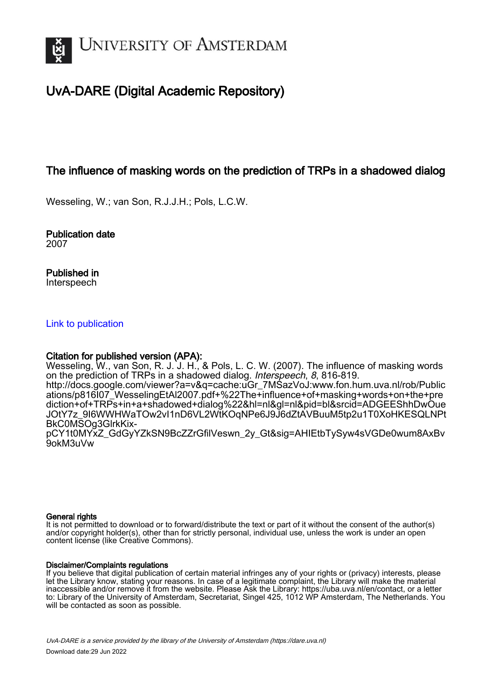

# UvA-DARE (Digital Academic Repository)

# The influence of masking words on the prediction of TRPs in a shadowed dialog

Wesseling, W.; van Son, R.J.J.H.; Pols, L.C.W.

Publication date 2007

Published in Interspeech

## [Link to publication](https://dare.uva.nl/personal/pure/en/publications/the-influence-of-masking-words-on-the-prediction-of-trps-in-a-shadowed-dialog(5ff6860f-1904-41c8-97f9-746c8acb262e).html)

## Citation for published version (APA):

Wesseling, W., van Son, R. J. J. H., & Pols, L. C. W. (2007). The influence of masking words on the prediction of TRPs in a shadowed dialog. Interspeech, 8, 816-819. [http://docs.google.com/viewer?a=v&q=cache:uGr\\_7MSazVoJ:www.fon.hum.uva.nl/rob/Public](http://docs.google.com/viewer?a=v&q=cache:uGr_7MSazVoJ:www.fon.hum.uva.nl/rob/Publications/p816I07_WesselingEtAl2007.pdf+%22The+influence+of+masking+words+on+the+prediction+of+TRPs+in+a+shadowed+dialog%22&hl=nl&gl=nl&pid=bl&srcid=ADGEEShhDwOueJOtY7z_9I6WWHWaTOw2vI1nD6VL2WtKOqNPe6J9J6dZtAVBuuM5tp2u1T0XoHKESQLNPtBkC0MSOg3GlrkKix-pCY1t0MYxZ_GdGyYZkSN9BcZZrGfilVeswn_2y_Gt&sig=AHIEtbTySyw4sVGDe0wum8AxBv9okM3uVw) [ations/p816I07\\_WesselingEtAl2007.pdf+%22The+influence+of+masking+words+on+the+pre](http://docs.google.com/viewer?a=v&q=cache:uGr_7MSazVoJ:www.fon.hum.uva.nl/rob/Publications/p816I07_WesselingEtAl2007.pdf+%22The+influence+of+masking+words+on+the+prediction+of+TRPs+in+a+shadowed+dialog%22&hl=nl&gl=nl&pid=bl&srcid=ADGEEShhDwOueJOtY7z_9I6WWHWaTOw2vI1nD6VL2WtKOqNPe6J9J6dZtAVBuuM5tp2u1T0XoHKESQLNPtBkC0MSOg3GlrkKix-pCY1t0MYxZ_GdGyYZkSN9BcZZrGfilVeswn_2y_Gt&sig=AHIEtbTySyw4sVGDe0wum8AxBv9okM3uVw) [diction+of+TRPs+in+a+shadowed+dialog%22&hl=nl&gl=nl&pid=bl&srcid=ADGEEShhDwOue](http://docs.google.com/viewer?a=v&q=cache:uGr_7MSazVoJ:www.fon.hum.uva.nl/rob/Publications/p816I07_WesselingEtAl2007.pdf+%22The+influence+of+masking+words+on+the+prediction+of+TRPs+in+a+shadowed+dialog%22&hl=nl&gl=nl&pid=bl&srcid=ADGEEShhDwOueJOtY7z_9I6WWHWaTOw2vI1nD6VL2WtKOqNPe6J9J6dZtAVBuuM5tp2u1T0XoHKESQLNPtBkC0MSOg3GlrkKix-pCY1t0MYxZ_GdGyYZkSN9BcZZrGfilVeswn_2y_Gt&sig=AHIEtbTySyw4sVGDe0wum8AxBv9okM3uVw) [JOtY7z\\_9I6WWHWaTOw2vI1nD6VL2WtKOqNPe6J9J6dZtAVBuuM5tp2u1T0XoHKESQLNPt](http://docs.google.com/viewer?a=v&q=cache:uGr_7MSazVoJ:www.fon.hum.uva.nl/rob/Publications/p816I07_WesselingEtAl2007.pdf+%22The+influence+of+masking+words+on+the+prediction+of+TRPs+in+a+shadowed+dialog%22&hl=nl&gl=nl&pid=bl&srcid=ADGEEShhDwOueJOtY7z_9I6WWHWaTOw2vI1nD6VL2WtKOqNPe6J9J6dZtAVBuuM5tp2u1T0XoHKESQLNPtBkC0MSOg3GlrkKix-pCY1t0MYxZ_GdGyYZkSN9BcZZrGfilVeswn_2y_Gt&sig=AHIEtbTySyw4sVGDe0wum8AxBv9okM3uVw)

[BkC0MSOg3GlrkKix](http://docs.google.com/viewer?a=v&q=cache:uGr_7MSazVoJ:www.fon.hum.uva.nl/rob/Publications/p816I07_WesselingEtAl2007.pdf+%22The+influence+of+masking+words+on+the+prediction+of+TRPs+in+a+shadowed+dialog%22&hl=nl&gl=nl&pid=bl&srcid=ADGEEShhDwOueJOtY7z_9I6WWHWaTOw2vI1nD6VL2WtKOqNPe6J9J6dZtAVBuuM5tp2u1T0XoHKESQLNPtBkC0MSOg3GlrkKix-pCY1t0MYxZ_GdGyYZkSN9BcZZrGfilVeswn_2y_Gt&sig=AHIEtbTySyw4sVGDe0wum8AxBv9okM3uVw)[pCY1t0MYxZ\\_GdGyYZkSN9BcZZrGfilVeswn\\_2y\\_Gt&sig=AHIEtbTySyw4sVGDe0wum8AxBv](http://docs.google.com/viewer?a=v&q=cache:uGr_7MSazVoJ:www.fon.hum.uva.nl/rob/Publications/p816I07_WesselingEtAl2007.pdf+%22The+influence+of+masking+words+on+the+prediction+of+TRPs+in+a+shadowed+dialog%22&hl=nl&gl=nl&pid=bl&srcid=ADGEEShhDwOueJOtY7z_9I6WWHWaTOw2vI1nD6VL2WtKOqNPe6J9J6dZtAVBuuM5tp2u1T0XoHKESQLNPtBkC0MSOg3GlrkKix-pCY1t0MYxZ_GdGyYZkSN9BcZZrGfilVeswn_2y_Gt&sig=AHIEtbTySyw4sVGDe0wum8AxBv9okM3uVw) [9okM3uVw](http://docs.google.com/viewer?a=v&q=cache:uGr_7MSazVoJ:www.fon.hum.uva.nl/rob/Publications/p816I07_WesselingEtAl2007.pdf+%22The+influence+of+masking+words+on+the+prediction+of+TRPs+in+a+shadowed+dialog%22&hl=nl&gl=nl&pid=bl&srcid=ADGEEShhDwOueJOtY7z_9I6WWHWaTOw2vI1nD6VL2WtKOqNPe6J9J6dZtAVBuuM5tp2u1T0XoHKESQLNPtBkC0MSOg3GlrkKix-pCY1t0MYxZ_GdGyYZkSN9BcZZrGfilVeswn_2y_Gt&sig=AHIEtbTySyw4sVGDe0wum8AxBv9okM3uVw)

## General rights

It is not permitted to download or to forward/distribute the text or part of it without the consent of the author(s) and/or copyright holder(s), other than for strictly personal, individual use, unless the work is under an open content license (like Creative Commons).

## Disclaimer/Complaints regulations

If you believe that digital publication of certain material infringes any of your rights or (privacy) interests, please let the Library know, stating your reasons. In case of a legitimate complaint, the Library will make the material inaccessible and/or remove it from the website. Please Ask the Library: https://uba.uva.nl/en/contact, or a letter to: Library of the University of Amsterdam, Secretariat, Singel 425, 1012 WP Amsterdam, The Netherlands. You will be contacted as soon as possible.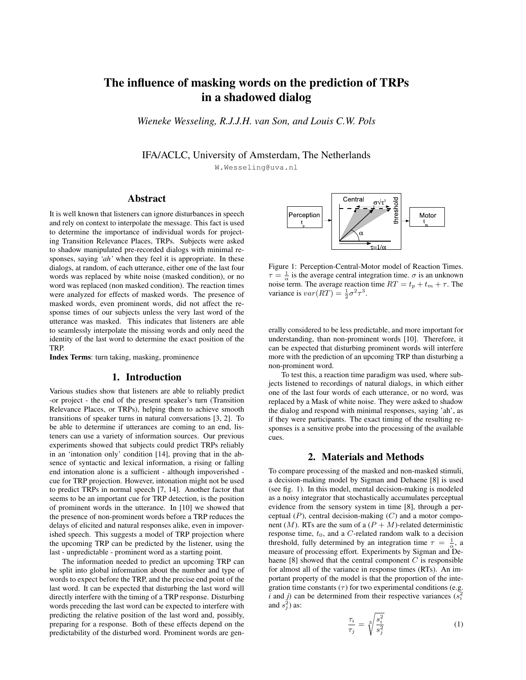# The influence of masking words on the prediction of TRPs in a shadowed dialog

*Wieneke Wesseling, R.J.J.H. van Son, and Louis C.W. Pols*

IFA/ACLC, University of Amsterdam, The Netherlands

W.Wesseling@uva.nl

## Abstract

It is well known that listeners can ignore disturbances in speech and rely on context to interpolate the message. This fact is used to determine the importance of individual words for projecting Transition Relevance Places, TRPs. Subjects were asked to shadow manipulated pre-recorded dialogs with minimal responses, saying *'ah'* when they feel it is appropriate. In these dialogs, at random, of each utterance, either one of the last four words was replaced by white noise (masked condition), or no word was replaced (non masked condition). The reaction times were analyzed for effects of masked words. The presence of masked words, even prominent words, did not affect the response times of our subjects unless the very last word of the utterance was masked. This indicates that listeners are able to seamlessly interpolate the missing words and only need the identity of the last word to determine the exact position of the TRP.

Index Terms: turn taking, masking, prominence

## 1. Introduction

Various studies show that listeners are able to reliably predict -or project - the end of the present speaker's turn (Transition Relevance Places, or TRPs), helping them to achieve smooth transitions of speaker turns in natural conversations [3, 2]. To be able to determine if utterances are coming to an end, listeners can use a variety of information sources. Our previous experiments showed that subjects could predict TRPs reliably in an 'intonation only' condition [14], proving that in the absence of syntactic and lexical information, a rising or falling end intonation alone is a sufficient - although impoverished cue for TRP projection. However, intonation might not be used to predict TRPs in normal speech [7, 14]. Another factor that seems to be an important cue for TRP detection, is the position of prominent words in the utterance. In [10] we showed that the presence of non-prominent words before a TRP reduces the delays of elicited and natural responses alike, even in impoverished speech. This suggests a model of TRP projection where the upcoming TRP can be predicted by the listener, using the last - unpredictable - prominent word as a starting point.

The information needed to predict an upcoming TRP can be split into global information about the number and type of words to expect before the TRP, and the precise end point of the last word. It can be expected that disturbing the last word will directly interfere with the timing of a TRP response. Disturbing words preceding the last word can be expected to interfere with predicting the relative position of the last word and, possibly, preparing for a response. Both of these effects depend on the predictability of the disturbed word. Prominent words are gen-



Figure 1: Perception-Central-Motor model of Reaction Times.  $\tau = \frac{1}{\alpha}$  is the average central integration time.  $\sigma$  is an unknown noise term. The average reaction time  $RT = t_p + t_m + \tau$ . The variance is  $var(RT) = \frac{1}{2}\sigma^2 \tau^3$ .

erally considered to be less predictable, and more important for understanding, than non-prominent words [10]. Therefore, it can be expected that disturbing prominent words will interfere more with the prediction of an upcoming TRP than disturbing a non-prominent word.

To test this, a reaction time paradigm was used, where subjects listened to recordings of natural dialogs, in which either one of the last four words of each utterance, or no word, was replaced by a Mask of white noise. They were asked to shadow the dialog and respond with minimal responses, saying 'ah', as if they were participants. The exact timing of the resulting responses is a sensitive probe into the processing of the available cues.

### 2. Materials and Methods

To compare processing of the masked and non-masked stimuli, a decision-making model by Sigman and Dehaene [8] is used (see fig. 1). In this model, mental decision-making is modeled as a noisy integrator that stochastically accumulates perceptual evidence from the sensory system in time [8], through a perceptual  $(P)$ , central decision-making  $(C)$  and a motor component  $(M)$ . RTs are the sum of a  $(P + M)$ -related deterministic response time,  $t_0$ , and a C-related random walk to a decision threshold, fully determined by an integration time  $\tau = \frac{1}{\alpha}$ , a measure of processing effort. Experiments by Sigman and Dehaene  $[8]$  showed that the central component  $C$  is responsible for almost all of the variance in response times (RTs). An important property of the model is that the proportion of the integration time constants  $(\tau)$  for two experimental conditions (e.g. *i* and *j*) can be determined from their respective variances  $(s_i^2)$ and  $s_j^2$ ) as:

$$
\frac{\tau_i}{\tau_j} = \sqrt[3]{\frac{s_i^2}{s_j^2}}\tag{1}
$$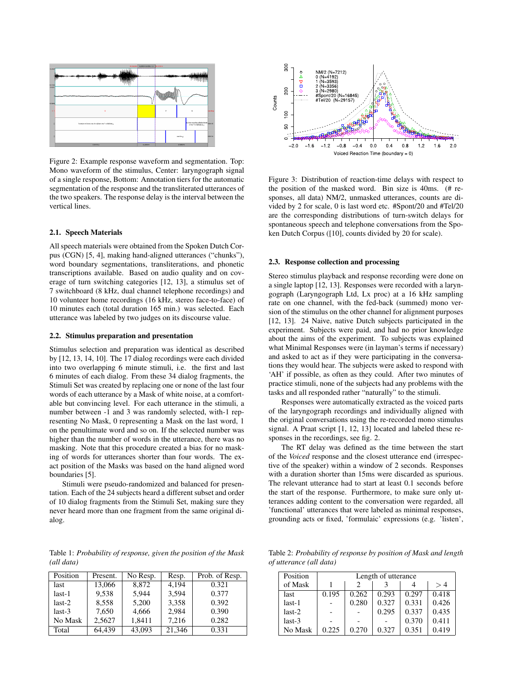

Figure 2: Example response waveform and segmentation. Top: Mono waveform of the stimulus, Center: laryngograph signal of a single response, Bottom: Annotation tiers for the automatic segmentation of the response and the transliterated utterances of the two speakers. The response delay is the interval between the vertical lines.

#### 2.1. Speech Materials

All speech materials were obtained from the Spoken Dutch Corpus (CGN) [5, 4], making hand-aligned utterances ("chunks"), word boundary segmentations, transliterations, and phonetic transcriptions available. Based on audio quality and on coverage of turn switching categories [12, 13], a stimulus set of 7 switchboard (8 kHz, dual channel telephone recordings) and 10 volunteer home recordings (16 kHz, stereo face-to-face) of 10 minutes each (total duration 165 min.) was selected. Each utterance was labeled by two judges on its discourse value.

#### 2.2. Stimulus preparation and presentation

Stimulus selection and preparation was identical as described by [12, 13, 14, 10]. The 17 dialog recordings were each divided into two overlapping 6 minute stimuli, i.e. the first and last 6 minutes of each dialog. From these 34 dialog fragments, the Stimuli Set was created by replacing one or none of the last four words of each utterance by a Mask of white noise, at a comfortable but convincing level. For each utterance in the stimuli, a number between -1 and 3 was randomly selected, with-1 representing No Mask, 0 representing a Mask on the last word, 1 on the penultimate word and so on. If the selected number was higher than the number of words in the utterance, there was no masking. Note that this procedure created a bias for no masking of words for utterances shorter than four words. The exact position of the Masks was based on the hand aligned word boundaries [5].

Stimuli were pseudo-randomized and balanced for presentation. Each of the 24 subjects heard a different subset and order of 10 dialog fragments from the Stimuli Set, making sure they never heard more than one fragment from the same original dialog.

Table 1: *Probability of response, given the position of the Mask (all data)*

| Position | Present. | No Resp. | Resp.  | Prob. of Resp. |  |
|----------|----------|----------|--------|----------------|--|
| last     | 13,066   | 8,872    | 4,194  | 0.321          |  |
| last-1   | 9.538    | 5.944    | 3.594  | 0.377          |  |
| $last-2$ | 8.558    | 5,200    | 3,358  | 0.392          |  |
| $last-3$ | 7,650    | 4,666    | 2.984  | 0.390          |  |
| No Mask  | 2.5627   | 1,8411   | 7,216  | 0.282          |  |
| Total    | 64.439   | 43,093   | 21.346 | 0.331          |  |



Figure 3: Distribution of reaction-time delays with respect to the position of the masked word. Bin size is 40ms. (# responses, all data) NM/2, unmasked utterances, counts are divided by 2 for scale, 0 is last word etc. #Spont/20 and #Tel/20 are the corresponding distributions of turn-switch delays for spontaneous speech and telephone conversations from the Spoken Dutch Corpus ([10], counts divided by 20 for scale).

#### 2.3. Response collection and processing

Stereo stimulus playback and response recording were done on a single laptop [12, 13]. Responses were recorded with a laryngograph (Laryngograph Ltd, Lx proc) at a 16 kHz sampling rate on one channel, with the fed-back (summed) mono version of the stimulus on the other channel for alignment purposes [12, 13]. 24 Naive, native Dutch subjects participated in the experiment. Subjects were paid, and had no prior knowledge about the aims of the experiment. To subjects was explained what Minimal Responses were (in layman's terms if necessary) and asked to act as if they were participating in the conversations they would hear. The subjects were asked to respond with 'AH' if possible, as often as they could. After two minutes of practice stimuli, none of the subjects had any problems with the tasks and all responded rather "naturally" to the stimuli.

Responses were automatically extracted as the voiced parts of the laryngograph recordings and individually aligned with the original conversations using the re-recorded mono stimulus signal. A Praat script [1, 12, 13] located and labeled these responses in the recordings, see fig. 2.

The RT delay was defined as the time between the start of the *Voiced* response and the closest utterance end (irrespective of the speaker) within a window of 2 seconds. Responses with a duration shorter than 15ms were discarded as spurious. The relevant utterance had to start at least 0.1 seconds before the start of the response. Furthermore, to make sure only utterances adding content to the conversation were regarded, all 'functional' utterances that were labeled as minimal responses, grounding acts or fixed, 'formulaic' expressions (e.g. 'listen',

Table 2: *Probability of response by position of Mask and length of utterance (all data)*

| Position | Length of utterance |       |       |       |       |  |  |
|----------|---------------------|-------|-------|-------|-------|--|--|
| of Mask  |                     |       |       |       | >4    |  |  |
| last     | 0.195               | 0.262 | 0.293 | 0.297 | 0.418 |  |  |
| $last-1$ |                     | 0.280 | 0.327 | 0.331 | 0.426 |  |  |
| $last-2$ |                     |       | 0.295 | 0.337 | 0.435 |  |  |
| $last-3$ |                     |       |       | 0.370 | 0.411 |  |  |
| No Mask  | 0.225               | 0.270 | 0.327 | 0.351 | 0.419 |  |  |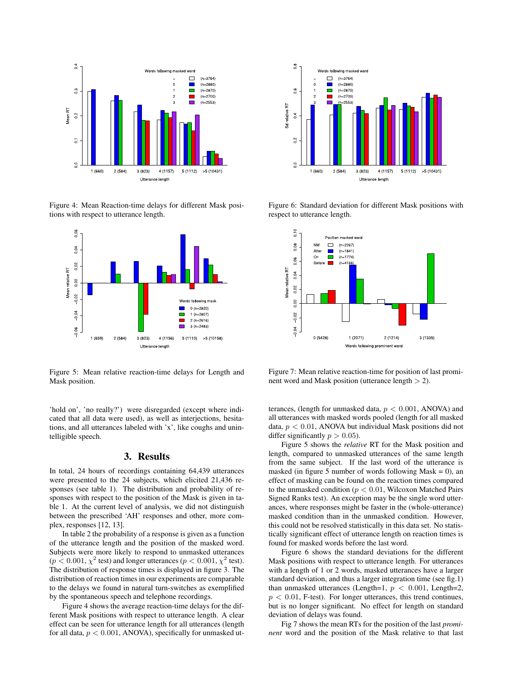

Figure 4: Mean Reaction-time delays for different Mask positions with respect to utterance length.



Figure 5: Mean relative reaction-time delays for Length and Mask position.

'hold on', 'no really?') were disregarded (except where indicated that all data were used), as well as interjections, hesitations, and all utterances labeled with 'x', like coughs and unintelligible speech.

#### 3. Results

In total, 24 hours of recordings containing 64,439 utterances were presented to the 24 subjects, which elicited 21,436 responses (see table 1). The distribution and probability of responses with respect to the position of the Mask is given in table 1. At the current level of analysis, we did not distinguish between the prescribed 'AH' responses and other, more complex, responses [12, 13].

In table 2 the probability of a response is given as a function of the utterance length and the position of the masked word. Subjects were more likely to respond to unmasked utterances  $(p < 0.001, \chi^2 \text{ test})$  and longer utterances  $(p < 0.001, \chi^2 \text{ test})$ . The distribution of response times is displayed in figure 3. The distribution of reaction times in our experiments are comparable to the delays we found in natural turn-switches as exemplified by the spontaneous speech and telephone recordings.

Figure 4 shows the average reaction-time delays for the different Mask positions with respect to utterance length. A clear effect can be seen for utterance length for all utterances (length for all data,  $p < 0.001$ , ANOVA), specifically for unmasked ut-



Figure 6: Standard deviation for different Mask positions with respect to utterance length.



Figure 7: Mean relative reaction-time for position of last prominent word and Mask position (utterance length  $> 2$ ).

terances, (length for unmasked data,  $p < 0.001$ , ANOVA) and all utterances with masked words pooled (length for all masked data,  $p < 0.01$ , ANOVA but individual Mask positions did not differ significantly  $p > 0.05$ ).

Figure 5 shows the *relative* RT for the Mask position and length, compared to unmasked utterances of the same length from the same subject. If the last word of the utterance is masked (in figure 5 number of words following Mask  $= 0$ ), an effect of masking can be found on the reaction times compared to the unmasked condition ( $p < 0.01$ , Wilcoxon Matched Pairs Signed Ranks test). An exception may be the single word utterances, where responses might be faster in the (whole-utterance) masked condition than in the unmasked condition. However, this could not be resolved statistically in this data set. No statistically significant effect of utterance length on reaction times is found for masked words before the last word.

Figure 6 shows the standard deviations for the different Mask positions with respect to utterance length. For utterances with a length of 1 or 2 words, masked utterances have a larger standard deviation, and thus a larger integration time (see fig.1) than unmasked utterances (Length=1,  $p < 0.001$ , Length=2,  $p < 0.01$ , F-test). For longer utterances, this trend continues, but is no longer significant. No effect for length on standard deviation of delays was found.

Fig 7 shows the mean RTs for the position of the last *prominent* word and the position of the Mask relative to that last